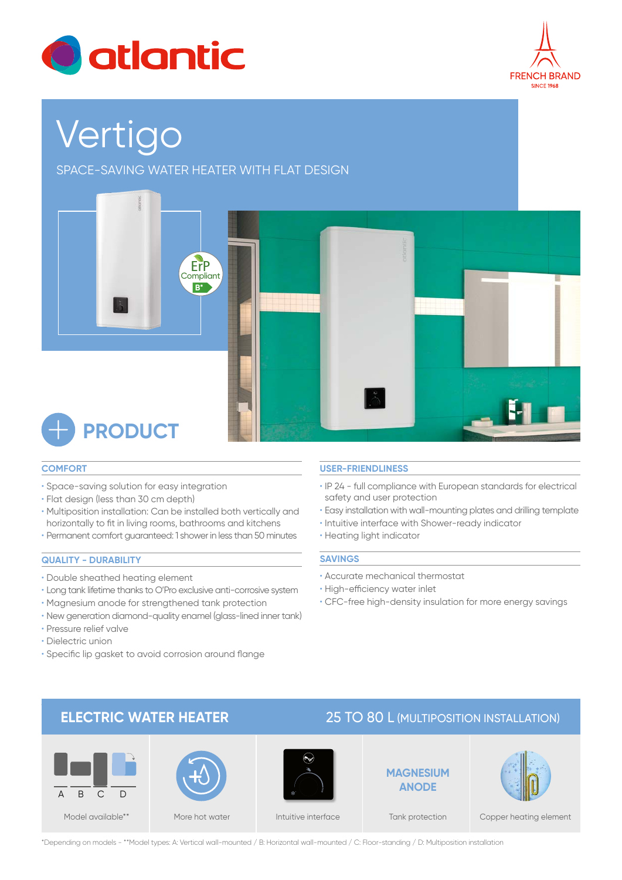



# Vertigo

SPACE-SAVING WATER HEATER WITH FLAT DESIGN



## **COMFORT**

- Space-saving solution for easy integration
- Flat design (less than 30 cm depth)
- Multiposition installation: Can be installed both vertically and horizontally to fit in living rooms, bathrooms and kitchens
- Permanent comfort guaranteed: 1 shower in less than 50 minutes

## **QUALITY - DURABILITY**

- Double sheathed heating element
- Long tank lifetime thanks to O'Pro exclusive anti-corrosive system
- Magnesium anode for strengthened tank protection
- New generation diamond-quality enamel (glass-lined inner tank)
- Pressure relief valve
- Dielectric union
- Specific lip gasket to avoid corrosion around flange

## **USER-FRIENDLINESS**

- IP 24 full compliance with European standards for electrical safety and user protection
- Easy installation with wall-mounting plates and drilling template
- Intuitive interface with Shower-ready indicator
- Heating light indicator

#### **SAVINGS**

- Accurate mechanical thermostat
- High-efficiency water inlet
- CFC-free high-density insulation for more energy savings

# **ELECTRIC WATER HEATER** 25 TO 80 L (MULTIPOSITION INSTALLATION)









Tank protection Copper heating element

\*Depending on models - \*\*Model types: A: Vertical wall-mounted / B: Horizontal wall-mounted / C: Floor-standing / D: Multiposition installation